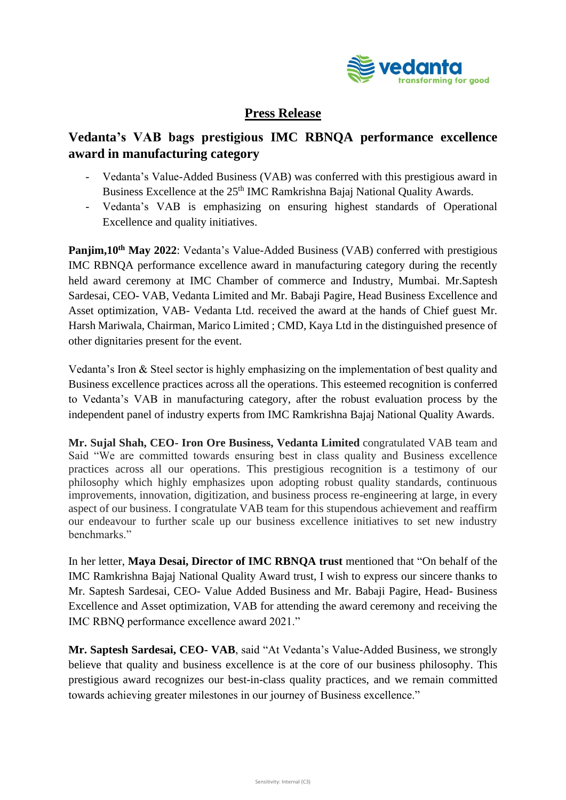

## **Press Release**

## **Vedanta's VAB bags prestigious IMC RBNQA performance excellence award in manufacturing category**

- Vedanta's Value-Added Business (VAB) was conferred with this prestigious award in Business Excellence at the 25<sup>th</sup> IMC Ramkrishna Bajaj National Quality Awards.
- Vedanta's VAB is emphasizing on ensuring highest standards of Operational Excellence and quality initiatives.

**Panjim,10th May 2022**: Vedanta's Value-Added Business (VAB) conferred with prestigious IMC RBNQA performance excellence award in manufacturing category during the recently held award ceremony at IMC Chamber of commerce and Industry, Mumbai. Mr.Saptesh Sardesai, CEO- VAB, Vedanta Limited and Mr. Babaji Pagire, Head Business Excellence and Asset optimization, VAB- Vedanta Ltd. received the award at the hands of Chief guest Mr. Harsh Mariwala, Chairman, Marico Limited ; CMD, Kaya Ltd in the distinguished presence of other dignitaries present for the event.

Vedanta's Iron & Steel sector is highly emphasizing on the implementation of best quality and Business excellence practices across all the operations. This esteemed recognition is conferred to Vedanta's VAB in manufacturing category, after the robust evaluation process by the independent panel of industry experts from IMC Ramkrishna Bajaj National Quality Awards.

**Mr. Sujal Shah, CEO- Iron Ore Business, Vedanta Limited** congratulated VAB team and Said "We are committed towards ensuring best in class quality and Business excellence practices across all our operations. This prestigious recognition is a testimony of our philosophy which highly emphasizes upon adopting robust quality standards, continuous improvements, innovation, digitization, and business process re-engineering at large, in every aspect of our business. I congratulate VAB team for this stupendous achievement and reaffirm our endeavour to further scale up our business excellence initiatives to set new industry benchmarks."

In her letter, **Maya Desai, Director of IMC RBNQA trust** mentioned that "On behalf of the IMC Ramkrishna Bajaj National Quality Award trust, I wish to express our sincere thanks to Mr. Saptesh Sardesai, CEO- Value Added Business and Mr. Babaji Pagire, Head- Business Excellence and Asset optimization, VAB for attending the award ceremony and receiving the IMC RBNQ performance excellence award 2021."

**Mr. Saptesh Sardesai, CEO- VAB**, said "At Vedanta's Value-Added Business, we strongly believe that quality and business excellence is at the core of our business philosophy. This prestigious award recognizes our best-in-class quality practices, and we remain committed towards achieving greater milestones in our journey of Business excellence."